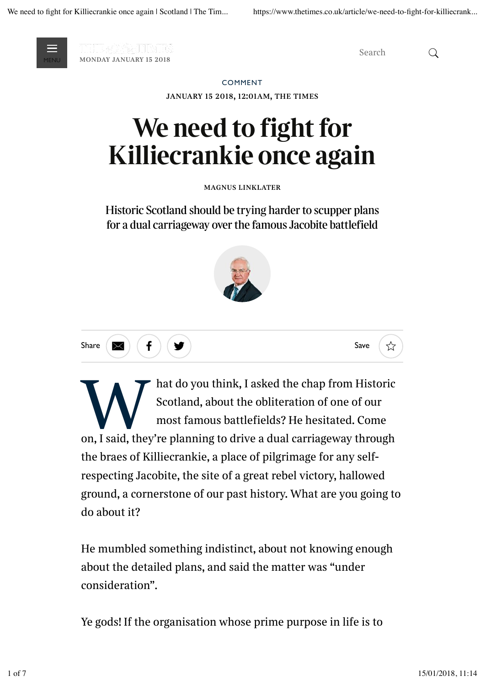

*monday january 15 2018* MENU MONDAY JANUARY 15 2018

*Search*

## COMMENT

*january 15 2018, 12:01am, the times*

## **We need to fight for Killiecrankie once again**

*magnus linklater*

Historic Scotland should be trying harder to scupper plans for a dual carriageway over the famous Jacobite battlefield







**WE ARE AND SECONDED SECUTE AND SCOTIGER SECURITED SCOTISTION SCOTISTING SCOTISTING SCOTISTING SCOTISTING SCOTISTING SCOTISTING SCOTISTING SCOTISTING SCOTISTING SCOTISTING SCOTISTING SCOTISTING SCOTISTING SCOTISTING SCOTIS** *hat do you think, I asked the chap from Historic Scotland, about the obliteration of one of our most famous battlefields? He hesitated. Come the braes of Killiecrankie, a place of pilgrimage for any selfrespecting Jacobite, the site of a great rebel victory, hallowed ground, a cornerstone of our past history. What are you going to do about it?*

*He mumbled something indistinct, about not knowing enough about the detailed plans, and said the matter was "under consideration".*

*Ye gods! If the organisation whose prime purpose in life is to*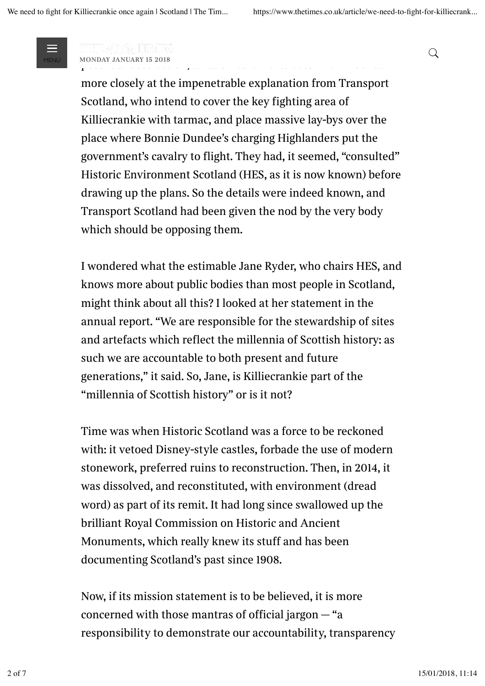

*protect the nation's heritage has nothing to say about its potential destruction, what on earth is its use? Then I looked*  $\alpha$  monday january 15 2018

*more closely at the impenetrable explanation from Transport Scotland, who intend to cover the key fighting area of Killiecrankie with tarmac, and place massive lay-bys over the place where Bonnie Dundee's charging Highlanders put the government's cavalry to flight. They had, it seemed, "consulted" Historic Environment Scotland (HES, as it is now known) before drawing up the plans. So the details were indeed known, and Transport Scotland had been given the nod by the very body which should be opposing them.*

*I wondered what the estimable Jane Ryder, who chairs HES, and knows more about public bodies than most people in Scotland, might think about all this? I looked at her statement in the annual report. "We are responsible for the stewardship of sites and artefacts which reflect the millennia of Scottish history: as such we are accountable to both present and future generations," it said. So, Jane, is Killiecrankie part of the "millennia of Scottish history" or is it not?*

*Time was when Historic Scotland was a force to be reckoned with: it vetoed Disney-style castles, forbade the use of modern stonework, preferred ruins to reconstruction. Then, in 2014, it was dissolved, and reconstituted, with environment (dread word) as part of its remit. It had long since swallowed up the brilliant Royal Commission on Historic and Ancient Monuments, which really knew its stuff and has been documenting Scotland's past since 1908.*

*Now, if its mission statement is to be believed, it is more concerned with those mantras of official jargon — "a responsibility to demonstrate our accountability, transparency*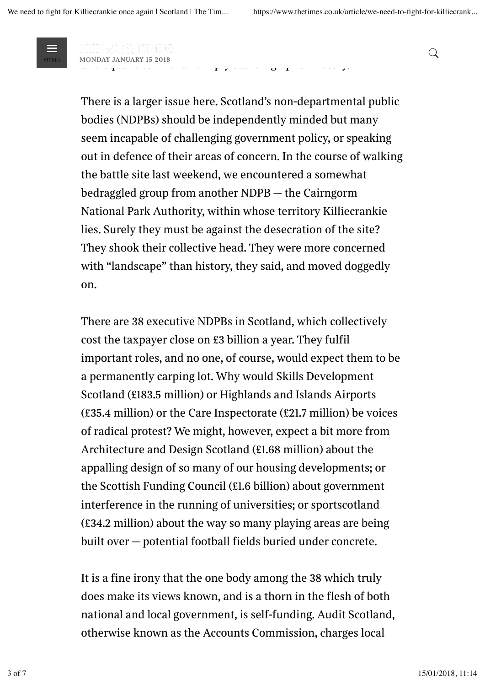

*and environmental sustainability as well as promoting diversity*  $\alpha$  monday january 15 2018

*There is a larger issue here. Scotland's non-departmental public bodies (NDPBs) should be independently minded but many seem incapable of challenging government policy, or speaking out in defence of their areas of concern. In the course of walking the battle site last weekend, we encountered a somewhat bedraggled group from another NDPB — the Cairngorm National Park Authority, within whose territory Killiecrankie lies. Surely they must be against the desecration of the site? They shook their collective head. They were more concerned with "landscape" than history, they said, and moved doggedly on.*

*and equalities" — than simply standing up for history.*

*There are 38 executive NDPBs in Scotland, which collectively cost the taxpayer close on £3 billion a year. They fulfil important roles, and no one, of course, would expect them to be a permanently carping lot. Why would Skills Development Scotland (£183.5 million) or Highlands and Islands Airports (£35.4 million) or the Care Inspectorate (£21.7 million) be voices of radical protest? We might, however, expect a bit more from Architecture and Design Scotland (£1.68 million) about the appalling design of so many of our housing developments; or the Scottish Funding Council (£1.6 billion) about government interference in the running of universities; or sportscotland (£34.2 million) about the way so many playing areas are being built over — potential football fields buried under concrete.*

*It is a fine irony that the one body among the 38 which truly does make its views known, and is a thorn in the flesh of both national and local government, is self-funding. Audit Scotland, otherwise known as the Accounts Commission, charges local*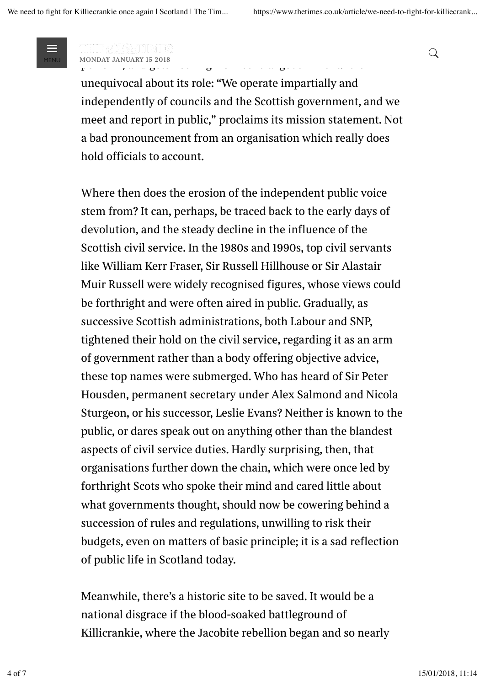

*councils for the work it does in assessing how well or badly they perform, and gets nothing from central government. It is* MENU *monday january 15 2018* %

*unequivocal about its role: "We operate impartially and independently of councils and the Scottish government, and we meet and report in public," proclaims its mission statement. Not a bad pronouncement from an organisation which really does hold officials to account.* 

*Where then does the erosion of the independent public voice stem from? It can, perhaps, be traced back to the early days of devolution, and the steady decline in the influence of the Scottish civil service. In the 1980s and 1990s, top civil servants like William Kerr Fraser, Sir Russell Hillhouse or Sir Alastair Muir Russell were widely recognised figures, whose views could be forthright and were often aired in public. Gradually, as successive Scottish administrations, both Labour and SNP, tightened their hold on the civil service, regarding it as an arm of government rather than a body offering objective advice, these top names were submerged. Who has heard of Sir Peter Housden, permanent secretary under Alex Salmond and Nicola Sturgeon, or his successor, Leslie Evans? Neither is known to the public, or dares speak out on anything other than the blandest aspects of civil service duties. Hardly surprising, then, that organisations further down the chain, which were once led by forthright Scots who spoke their mind and cared little about what governments thought, should now be cowering behind a succession of rules and regulations, unwilling to risk their budgets, even on matters of basic principle; it is a sad reflection of public life in Scotland today.*

*Meanwhile, there's a historic site to be saved. It would be a national disgrace if the blood-soaked battleground of Killicrankie, where the Jacobite rebellion began and so nearly*